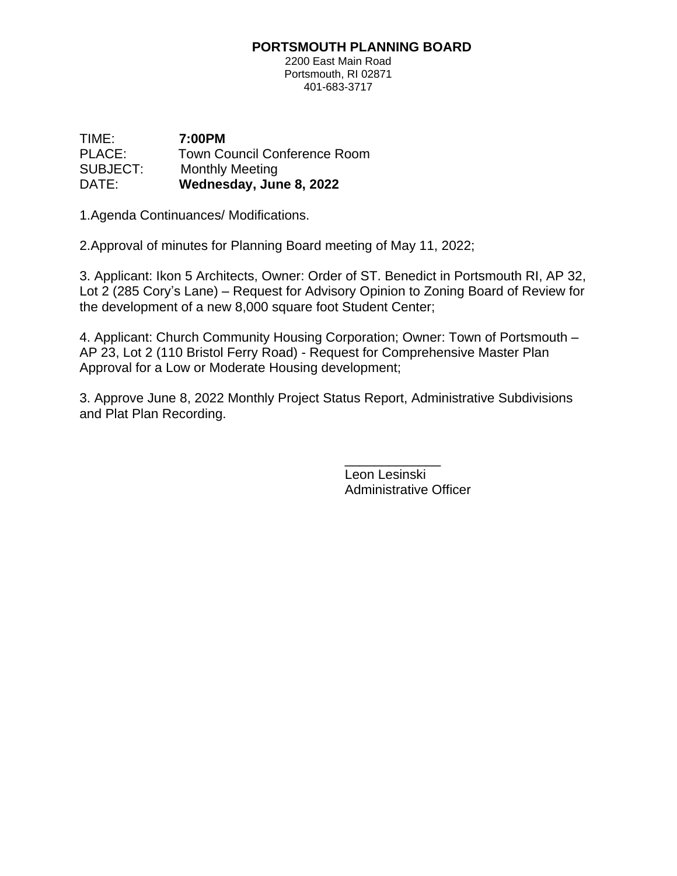## **PORTSMOUTH PLANNING BOARD**

2200 East Main Road Portsmouth, RI 02871 401-683-3717

TIME: **7:00PM** PLACE: Town Council Conference Room SUBJECT: Monthly Meeting DATE: **Wednesday, June 8, 2022**

1.Agenda Continuances/ Modifications.

2.Approval of minutes for Planning Board meeting of May 11, 2022;

3. Applicant: Ikon 5 Architects, Owner: Order of ST. Benedict in Portsmouth RI, AP 32, Lot 2 (285 Cory's Lane) – Request for Advisory Opinion to Zoning Board of Review for the development of a new 8,000 square foot Student Center;

4. Applicant: Church Community Housing Corporation; Owner: Town of Portsmouth – AP 23, Lot 2 (110 Bristol Ferry Road) - Request for Comprehensive Master Plan Approval for a Low or Moderate Housing development;

3. Approve June 8, 2022 Monthly Project Status Report, Administrative Subdivisions and Plat Plan Recording.

> \_\_\_\_\_\_\_\_\_\_\_\_\_ Leon Lesinski Administrative Officer